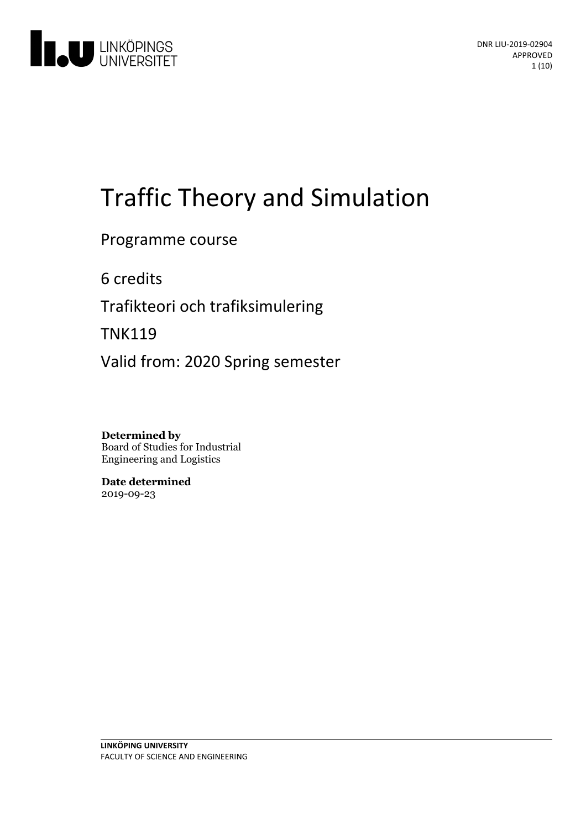

# Traffic Theory and Simulation

Programme course

6 credits

Trafikteori och trafiksimulering

TNK119

Valid from: 2020 Spring semester

**Determined by** Board of Studies for Industrial Engineering and Logistics

**Date determined** 2019-09-23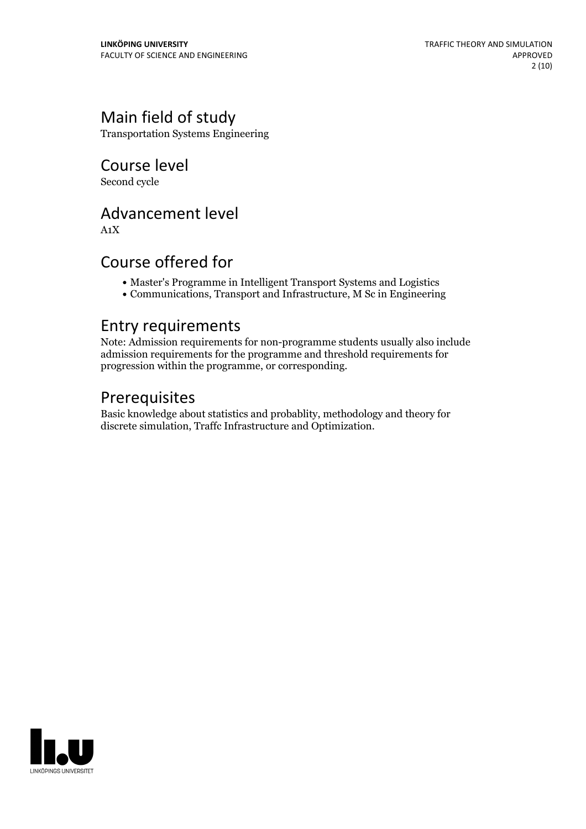# Main field of study

Transportation Systems Engineering

Course level Second cycle

# Advancement level

A1X

# Course offered for

- Master's Programme in Intelligent Transport Systems and Logistics
- Communications, Transport and Infrastructure, M Sc in Engineering

### Entry requirements

Note: Admission requirements for non-programme students usually also include admission requirements for the programme and threshold requirements for progression within the programme, or corresponding.

# Prerequisites

Basic knowledge about statistics and probablity, methodology and theory for discrete simulation, Traffc Infrastructure and Optimization.

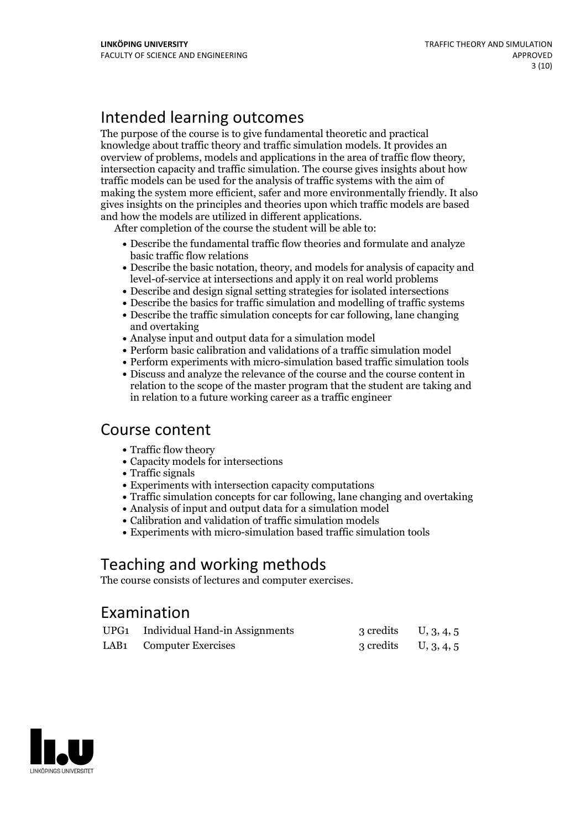# Intended learning outcomes

The purpose of the course is to give fundamental theoretic and practical knowledge about traffic theory and traffic simulation models. It provides an overview of problems, models and applications in the area of traffic flow theory, intersection capacity and traffic simulation. The course gives insights about how traffic models can be used for the analysis of traffic systems with the aim of making the system more efficient, safer and more environmentally friendly. It also gives insights on the principles and theories upon which traffic models are based

and how the models are utilized in different applications. After completion of the course the student will be able to:

- Describe the fundamental traffic flow theories and formulate and analyze basic traffic flow relations
- Describe the basic notation, theory, and models for analysis of capacity and level-of-service at intersections and apply it on real world problems
- Describe and design signal setting strategies for isolated intersections
- Describe the basics for traffic simulation and modelling of traffic systems
- Describe the traffic simulation concepts for car following, lane changing and overtaking
- Analyse input and output data for a simulation model
- Perform basic calibration and validations of a traffic simulation model
- Perform experiments with micro-simulation based traffic simulation tools
- Discuss and analyze the relevance of the course and the course content in relation to the scope of the master program that the student are taking and in relation to a future working career as a traffic engineer

### Course content

- Traffic flow theory
- Capacity models for intersections
- Traffic signals
- Experiments with intersection capacity computations
- Traffic simulation concepts for car following, lane changing and overtaking
- Analysis of input and output data for a simulation model
- Calibration and validation of traffic simulation models
- Experiments with micro-simulation based traffic simulation tools

# Teaching and working methods

The course consists of lectures and computer exercises.

# Examination

| UPG1 Individual Hand-in Assignments | 3 credits U, 3, 4, 5   |  |
|-------------------------------------|------------------------|--|
| LAB1 Computer Exercises             | 3 credits $U, 3, 4, 5$ |  |

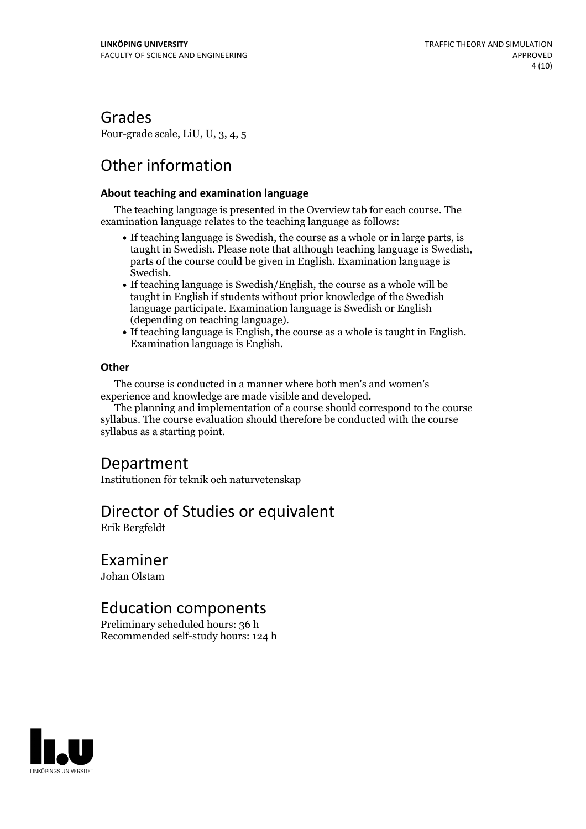### Grades

Four-grade scale, LiU, U, 3, 4, 5

# Other information

#### **About teaching and examination language**

The teaching language is presented in the Overview tab for each course. The examination language relates to the teaching language as follows:

- If teaching language is Swedish, the course as a whole or in large parts, is taught in Swedish. Please note that although teaching language is Swedish, parts of the course could be given in English. Examination language is
- Swedish.<br>• If teaching language is Swedish/English, the course as a whole will be taught in English if students without prior knowledge of the Swedish language participate. Examination language is Swedish or English
- (depending on teaching language).<br>• If teaching language is English, the course as a whole is taught in English.<br>Examination language is English.

#### **Other**

The course is conducted in a manner where both men's and women's

The planning and implementation of a course should correspond to the course syllabus. The course evaluation should therefore be conducted with the course syllabus as a starting point.

### Department

Institutionen för teknik och naturvetenskap

### Director of Studies or equivalent

Erik Bergfeldt

### Examiner

Johan Olstam

# Education components

Preliminary scheduled hours: 36 h Recommended self-study hours: 124 h

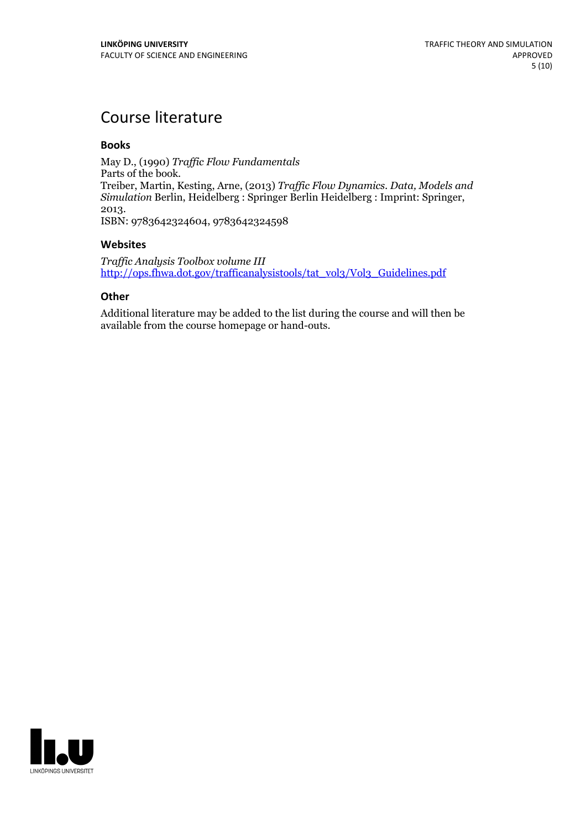# Course literature

#### **Books**

May D., (1990) *Traffic Flow Fundamentals*<br>Parts of the book. Parts of the book. Treiber, Martin, Kesting, Arne, (2013) *Traf ic Flow Dynamics. Data, Models and Simulation* Berlin, Heidelberg : Springer Berlin Heidelberg : Imprint: Springer, 2013. ISBN: 9783642324604, <sup>9783642324598</sup>

#### **Websites**

*Traf ic Analysis Toolbox volume III* [http://ops.fhwa.dot.gov/trafficanalysistools/tat\\_vol3/Vol3\\_Guidelines.pdf](http://ops.fhwa.dot.gov/trafficanalysistools/tat_vol3/Vol3_Guidelines.pdf)

#### **Other**

Additional literature may be added to the list during the course and will then be available from the course homepage or hand-outs.

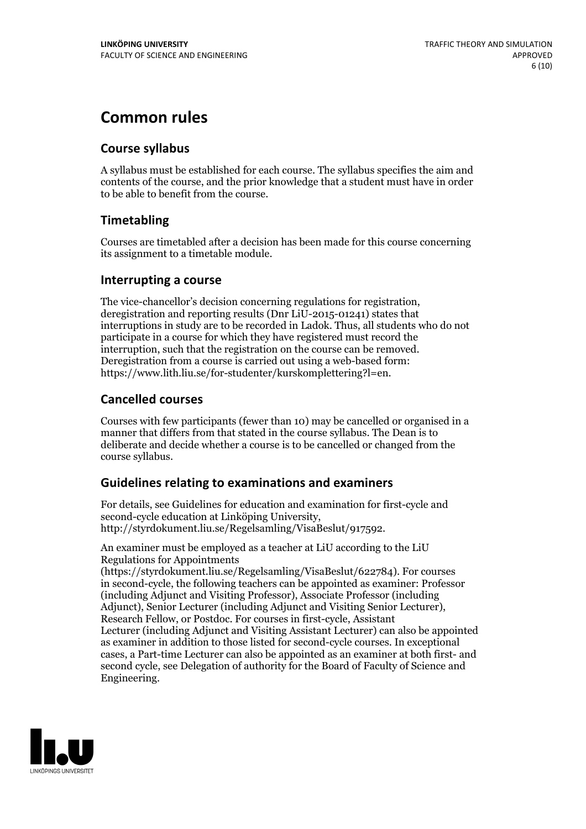# **Common rules**

#### **Course syllabus**

A syllabus must be established for each course. The syllabus specifies the aim and contents of the course, and the prior knowledge that a student must have in order to be able to benefit from the course.

#### **Timetabling**

Courses are timetabled after a decision has been made for this course concerning its assignment to a timetable module.

#### **Interrupting a course**

The vice-chancellor's decision concerning regulations for registration, deregistration and reporting results (Dnr LiU-2015-01241) states that interruptions in study are to be recorded in Ladok. Thus, all students who do not participate in a course for which they have registered must record the interruption, such that the registration on the course can be removed. Deregistration from <sup>a</sup> course is carried outusing <sup>a</sup> web-based form: https://www.lith.liu.se/for-studenter/kurskomplettering?l=en.

#### **Cancelled courses**

Courses with few participants (fewer than 10) may be cancelled or organised in a manner that differs from that stated in the course syllabus. The Dean is to deliberate and decide whether a course is to be cancelled or changed from the course syllabus.

#### **Guidelines relatingto examinations and examiners**

For details, see Guidelines for education and examination for first-cycle and second-cycle education at Linköping University, http://styrdokument.liu.se/Regelsamling/VisaBeslut/917592.

An examiner must be employed as a teacher at LiU according to the LiU Regulations for Appointments

(https://styrdokument.liu.se/Regelsamling/VisaBeslut/622784). For courses in second-cycle, the following teachers can be appointed as examiner: Professor (including Adjunct and Visiting Professor), Associate Professor (including Adjunct), Senior Lecturer (including Adjunct and Visiting Senior Lecturer), Research Fellow, or Postdoc. For courses in first-cycle, Assistant Lecturer (including Adjunct and Visiting Assistant Lecturer) can also be appointed as examiner in addition to those listed for second-cycle courses. In exceptional cases, a Part-time Lecturer can also be appointed as an examiner at both first- and second cycle, see Delegation of authority for the Board of Faculty of Science and Engineering.

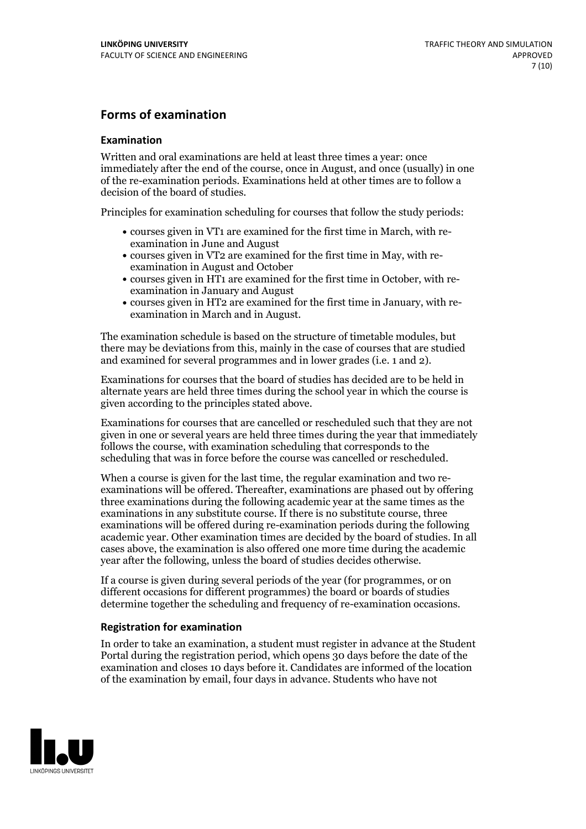#### **Forms of examination**

#### **Examination**

Written and oral examinations are held at least three times a year: once immediately after the end of the course, once in August, and once (usually) in one of the re-examination periods. Examinations held at other times are to follow a decision of the board of studies.

Principles for examination scheduling for courses that follow the study periods:

- courses given in VT1 are examined for the first time in March, with re-examination in June and August
- courses given in VT2 are examined for the first time in May, with re-examination in August and October
- courses given in HT1 are examined for the first time in October, with re-examination in January and August
- courses given in HT2 are examined for the first time in January, with re-examination in March and in August.

The examination schedule is based on the structure of timetable modules, but there may be deviations from this, mainly in the case of courses that are studied and examined for several programmes and in lower grades (i.e. 1 and 2).

Examinations for courses that the board of studies has decided are to be held in alternate years are held three times during the school year in which the course is given according to the principles stated above.

Examinations for courses that are cancelled orrescheduled such that they are not given in one or several years are held three times during the year that immediately follows the course, with examination scheduling that corresponds to the scheduling that was in force before the course was cancelled or rescheduled.

When a course is given for the last time, the regular examination and two re-<br>examinations will be offered. Thereafter, examinations are phased out by offering three examinations during the following academic year at the same times as the examinations in any substitute course. If there is no substitute course, three examinations will be offered during re-examination periods during the following academic year. Other examination times are decided by the board of studies. In all cases above, the examination is also offered one more time during the academic year after the following, unless the board of studies decides otherwise.

If a course is given during several periods of the year (for programmes, or on different occasions for different programmes) the board or boards of studies determine together the scheduling and frequency of re-examination occasions.

#### **Registration for examination**

In order to take an examination, a student must register in advance at the Student Portal during the registration period, which opens 30 days before the date of the examination and closes 10 days before it. Candidates are informed of the location of the examination by email, four days in advance. Students who have not

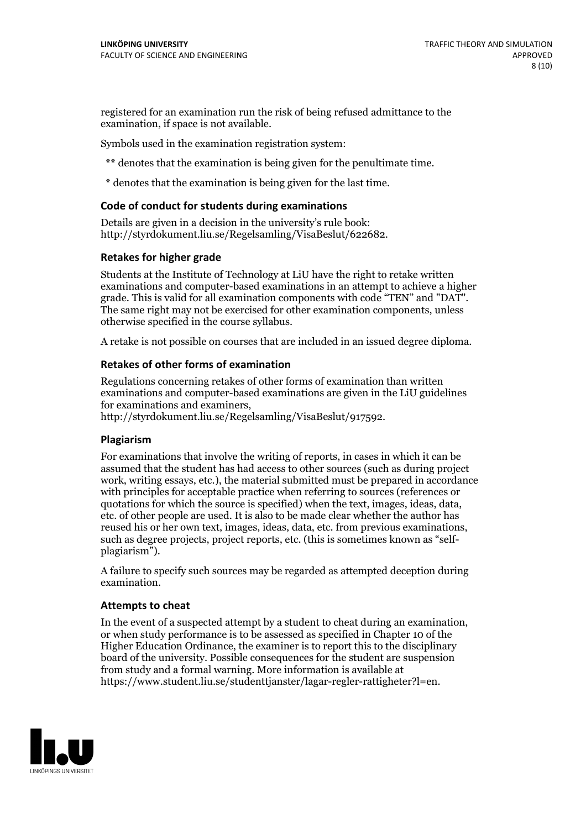registered for an examination run the risk of being refused admittance to the examination, if space is not available.

Symbols used in the examination registration system:

\*\* denotes that the examination is being given for the penultimate time.

\* denotes that the examination is being given for the last time.

#### **Code of conduct for students during examinations**

Details are given in a decision in the university's rule book: http://styrdokument.liu.se/Regelsamling/VisaBeslut/622682.

#### **Retakes for higher grade**

Students at the Institute of Technology at LiU have the right to retake written examinations and computer-based examinations in an attempt to achieve a higher grade. This is valid for all examination components with code "TEN" and "DAT". The same right may not be exercised for other examination components, unless otherwise specified in the course syllabus.

A retake is not possible on courses that are included in an issued degree diploma.

#### **Retakes of other forms of examination**

Regulations concerning retakes of other forms of examination than written examinations and computer-based examinations are given in the LiU guidelines

http://styrdokument.liu.se/Regelsamling/VisaBeslut/917592.

#### **Plagiarism**

For examinations that involve the writing of reports, in cases in which it can be assumed that the student has had access to other sources (such as during project work, writing essays, etc.), the material submitted must be prepared in accordance with principles for acceptable practice when referring to sources (references or quotations for which the source is specified) when the text, images, ideas, data,  $\vec{e}$  etc. of other people are used. It is also to be made clear whether the author has reused his or her own text, images, ideas, data, etc. from previous examinations, such as degree projects, project reports, etc. (this is sometimes known as "self- plagiarism").

A failure to specify such sources may be regarded as attempted deception during examination.

#### **Attempts to cheat**

In the event of <sup>a</sup> suspected attempt by <sup>a</sup> student to cheat during an examination, or when study performance is to be assessed as specified in Chapter <sup>10</sup> of the Higher Education Ordinance, the examiner is to report this to the disciplinary board of the university. Possible consequences for the student are suspension from study and a formal warning. More information is available at https://www.student.liu.se/studenttjanster/lagar-regler-rattigheter?l=en.

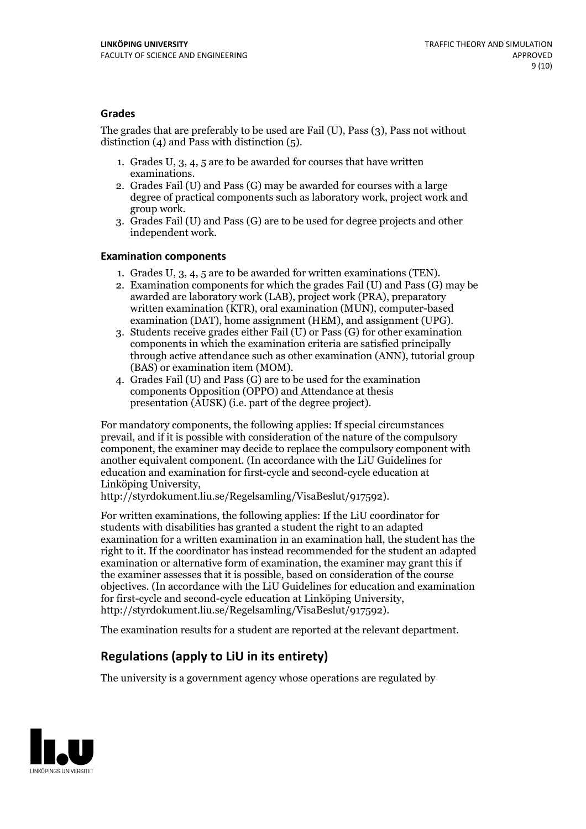#### **Grades**

The grades that are preferably to be used are Fail (U), Pass (3), Pass not without distinction  $(4)$  and Pass with distinction  $(5)$ .

- 1. Grades U, 3, 4, 5 are to be awarded for courses that have written
- examinations. 2. Grades Fail (U) and Pass (G) may be awarded for courses with <sup>a</sup> large degree of practical components such as laboratory work, project work and group work. 3. Grades Fail (U) and Pass (G) are to be used for degree projects and other
- independent work.

#### **Examination components**

- 
- 1. Grades U, 3, 4, <sup>5</sup> are to be awarded for written examinations (TEN). 2. Examination components for which the grades Fail (U) and Pass (G) may be awarded are laboratory work (LAB), project work (PRA), preparatory written examination (KTR), oral examination (MUN), computer-based
- examination (DAT), home assignment (HEM), and assignment (UPG). 3. Students receive grades either Fail (U) or Pass (G) for other examination components in which the examination criteria are satisfied principally through active attendance such as other examination (ANN), tutorial group
- (BAS) or examination item (MOM). 4. Grades Fail (U) and Pass (G) are to be used for the examination components Opposition (OPPO) and Attendance at thesis presentation (AUSK) (i.e. part of the degree project).

For mandatory components, the following applies: If special circumstances prevail, and if it is possible with consideration of the nature of the compulsory component, the examiner may decide to replace the compulsory component with another equivalent component. (In accordance with the LiU Guidelines for education and examination for first-cycle and second-cycle education at Linköping University, http://styrdokument.liu.se/Regelsamling/VisaBeslut/917592).

For written examinations, the following applies: If the LiU coordinator for students with disabilities has granted a student the right to an adapted examination for a written examination in an examination hall, the student has the right to it. If the coordinator has instead recommended for the student an adapted examination or alternative form of examination, the examiner may grant this if the examiner assesses that it is possible, based on consideration of the course objectives. (In accordance with the LiU Guidelines for education and examination for first-cycle and second-cycle education at Linköping University, http://styrdokument.liu.se/Regelsamling/VisaBeslut/917592).

The examination results for a student are reported at the relevant department.

### **Regulations (applyto LiU in its entirety)**

The university is a government agency whose operations are regulated by